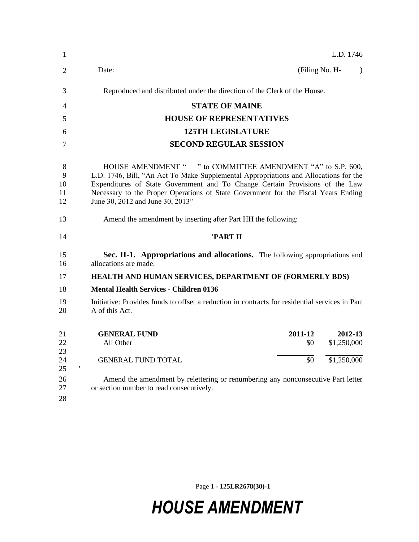| 1                        | L.D. 1746                                                                                                                                                                                                                                                                                                                                                     |
|--------------------------|---------------------------------------------------------------------------------------------------------------------------------------------------------------------------------------------------------------------------------------------------------------------------------------------------------------------------------------------------------------|
| 2                        | Date:<br>(Filing No. H-<br>$\lambda$                                                                                                                                                                                                                                                                                                                          |
| 3                        | Reproduced and distributed under the direction of the Clerk of the House.                                                                                                                                                                                                                                                                                     |
| 4                        | <b>STATE OF MAINE</b>                                                                                                                                                                                                                                                                                                                                         |
| 5                        | <b>HOUSE OF REPRESENTATIVES</b>                                                                                                                                                                                                                                                                                                                               |
| 6                        | <b>125TH LEGISLATURE</b>                                                                                                                                                                                                                                                                                                                                      |
| 7                        | <b>SECOND REGULAR SESSION</b>                                                                                                                                                                                                                                                                                                                                 |
| 8<br>9<br>10<br>11<br>12 | HOUSE AMENDMENT " " to COMMITTEE AMENDMENT "A" to S.P. 600,<br>L.D. 1746, Bill, "An Act To Make Supplemental Appropriations and Allocations for the<br>Expenditures of State Government and To Change Certain Provisions of the Law<br>Necessary to the Proper Operations of State Government for the Fiscal Years Ending<br>June 30, 2012 and June 30, 2013" |
| 13                       | Amend the amendment by inserting after Part HH the following:                                                                                                                                                                                                                                                                                                 |
| 14                       | 'PART II                                                                                                                                                                                                                                                                                                                                                      |
| 15<br>16                 | Sec. II-1. Appropriations and allocations. The following appropriations and<br>allocations are made.                                                                                                                                                                                                                                                          |
| 17                       | <b>HEALTH AND HUMAN SERVICES, DEPARTMENT OF (FORMERLY BDS)</b>                                                                                                                                                                                                                                                                                                |
| 18                       | <b>Mental Health Services - Children 0136</b>                                                                                                                                                                                                                                                                                                                 |
| 19<br>20                 | Initiative: Provides funds to offset a reduction in contracts for residential services in Part<br>A of this Act.                                                                                                                                                                                                                                              |
| 21<br>22<br>23           | <b>GENERAL FUND</b><br>2011-12<br>2012-13<br>\$1,250,000<br>All Other<br>\$0                                                                                                                                                                                                                                                                                  |
| 24<br>25                 | \$0<br>\$1,250,000<br><b>GENERAL FUND TOTAL</b>                                                                                                                                                                                                                                                                                                               |
| 26<br>27<br>28           | Amend the amendment by relettering or renumbering any nonconsecutive Part letter<br>or section number to read consecutively.                                                                                                                                                                                                                                  |

Page 1 **- 125LR2678(30)-1**

## *HOUSE AMENDMENT*